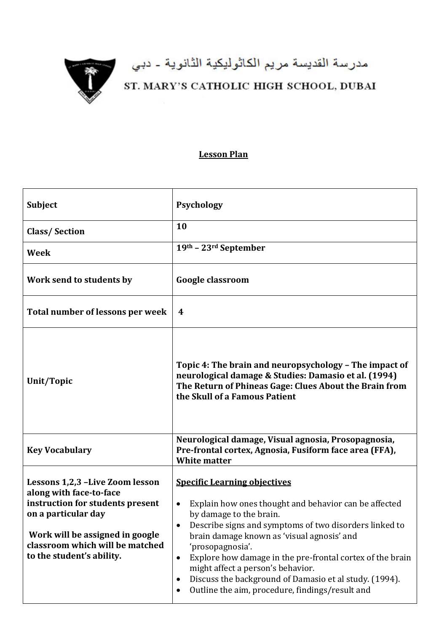

## مدرسة القديسة مريم الكاثوليكية الثانوية ـ دبي<br>ST. MARY'S CATHOLIC HIGH SCHOOL, DUBAI

## **Lesson Plan**

| <b>Subject</b>                                                                                                                                                                                                           | <b>Psychology</b>                                                                                                                                                                                                                                                                                                                                                                                                                                                                                              |
|--------------------------------------------------------------------------------------------------------------------------------------------------------------------------------------------------------------------------|----------------------------------------------------------------------------------------------------------------------------------------------------------------------------------------------------------------------------------------------------------------------------------------------------------------------------------------------------------------------------------------------------------------------------------------------------------------------------------------------------------------|
| <b>Class/Section</b>                                                                                                                                                                                                     | 10                                                                                                                                                                                                                                                                                                                                                                                                                                                                                                             |
| <b>Week</b>                                                                                                                                                                                                              | 19th - 23rd September                                                                                                                                                                                                                                                                                                                                                                                                                                                                                          |
| Work send to students by                                                                                                                                                                                                 | <b>Google classroom</b>                                                                                                                                                                                                                                                                                                                                                                                                                                                                                        |
| Total number of lessons per week                                                                                                                                                                                         | 4                                                                                                                                                                                                                                                                                                                                                                                                                                                                                                              |
| Unit/Topic                                                                                                                                                                                                               | Topic 4: The brain and neuropsychology - The impact of<br>neurological damage & Studies: Damasio et al. (1994)<br>The Return of Phineas Gage: Clues About the Brain from<br>the Skull of a Famous Patient                                                                                                                                                                                                                                                                                                      |
| <b>Key Vocabulary</b>                                                                                                                                                                                                    | Neurological damage, Visual agnosia, Prosopagnosia,<br>Pre-frontal cortex, Agnosia, Fusiform face area (FFA),<br><b>White matter</b>                                                                                                                                                                                                                                                                                                                                                                           |
| Lessons 1,2,3 -Live Zoom lesson<br>along with face-to-face<br>instruction for students present<br>on a particular day<br>Work will be assigned in google<br>classroom which will be matched<br>to the student's ability. | <b>Specific Learning objectives</b><br>Explain how ones thought and behavior can be affected<br>$\bullet$<br>by damage to the brain.<br>Describe signs and symptoms of two disorders linked to<br>٠<br>brain damage known as 'visual agnosis' and<br>'prosopagnosia'.<br>Explore how damage in the pre-frontal cortex of the brain<br>$\bullet$<br>might affect a person's behavior.<br>Discuss the background of Damasio et al study. (1994).<br>$\bullet$<br>Outline the aim, procedure, findings/result and |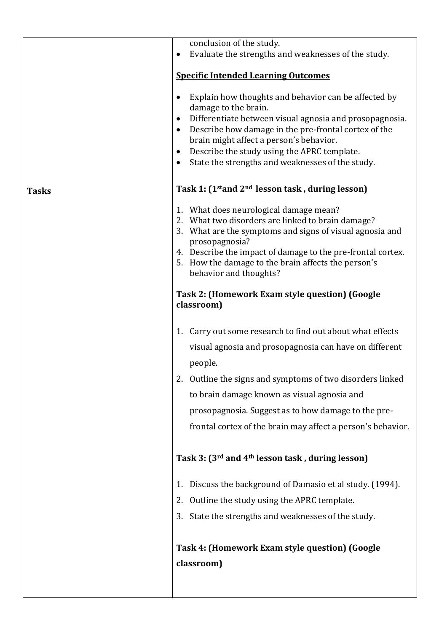|              | conclusion of the study.                                                                                                                                                                                                                                                                                                                                                             |
|--------------|--------------------------------------------------------------------------------------------------------------------------------------------------------------------------------------------------------------------------------------------------------------------------------------------------------------------------------------------------------------------------------------|
|              | Evaluate the strengths and weaknesses of the study.                                                                                                                                                                                                                                                                                                                                  |
|              | <b>Specific Intended Learning Outcomes</b>                                                                                                                                                                                                                                                                                                                                           |
|              | Explain how thoughts and behavior can be affected by<br>damage to the brain.<br>Differentiate between visual agnosia and prosopagnosia.<br>$\bullet$<br>Describe how damage in the pre-frontal cortex of the<br>$\bullet$<br>brain might affect a person's behavior.<br>Describe the study using the APRC template.<br>$\bullet$<br>State the strengths and weaknesses of the study. |
| <b>Tasks</b> | Task 1: (1 <sup>st</sup> and 2 <sup>nd</sup> lesson task, during lesson)                                                                                                                                                                                                                                                                                                             |
|              | 1. What does neurological damage mean?<br>2. What two disorders are linked to brain damage?<br>What are the symptoms and signs of visual agnosia and<br>3.<br>prosopagnosia?<br>4. Describe the impact of damage to the pre-frontal cortex.<br>How the damage to the brain affects the person's<br>5.<br>behavior and thoughts?                                                      |
|              | Task 2: (Homework Exam style question) (Google<br>classroom)                                                                                                                                                                                                                                                                                                                         |
|              | 1. Carry out some research to find out about what effects<br>visual agnosia and prosopagnosia can have on different<br>people.                                                                                                                                                                                                                                                       |
|              | Outline the signs and symptoms of two disorders linked<br>2.                                                                                                                                                                                                                                                                                                                         |
|              | to brain damage known as visual agnosia and                                                                                                                                                                                                                                                                                                                                          |
|              | prosopagnosia. Suggest as to how damage to the pre-                                                                                                                                                                                                                                                                                                                                  |
|              | frontal cortex of the brain may affect a person's behavior.                                                                                                                                                                                                                                                                                                                          |
|              | Task 3: (3rd and 4th lesson task, during lesson)                                                                                                                                                                                                                                                                                                                                     |
|              | Discuss the background of Damasio et al study. (1994).<br>1.                                                                                                                                                                                                                                                                                                                         |
|              | 2. Outline the study using the APRC template.                                                                                                                                                                                                                                                                                                                                        |
|              | 3. State the strengths and weaknesses of the study.                                                                                                                                                                                                                                                                                                                                  |
|              | Task 4: (Homework Exam style question) (Google<br>classroom)                                                                                                                                                                                                                                                                                                                         |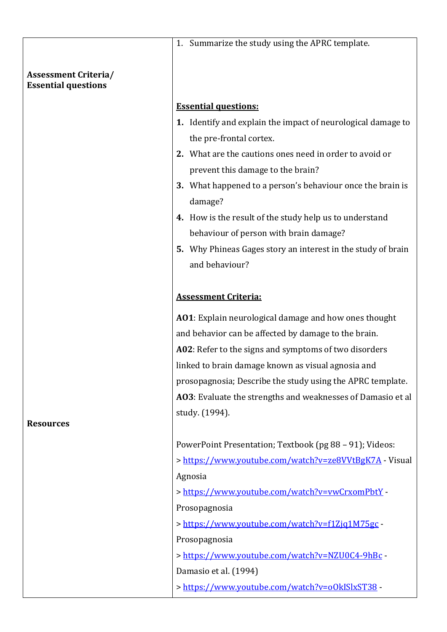|                                                           | 1. Summarize the study using the APRC template.                       |
|-----------------------------------------------------------|-----------------------------------------------------------------------|
|                                                           |                                                                       |
| <b>Assessment Criteria/</b><br><b>Essential questions</b> |                                                                       |
|                                                           | <b>Essential questions:</b>                                           |
|                                                           | 1. Identify and explain the impact of neurological damage to          |
|                                                           | the pre-frontal cortex.                                               |
|                                                           | 2. What are the cautions ones need in order to avoid or               |
|                                                           | prevent this damage to the brain?                                     |
|                                                           | 3. What happened to a person's behaviour once the brain is<br>damage? |
|                                                           | 4. How is the result of the study help us to understand               |
|                                                           | behaviour of person with brain damage?                                |
|                                                           | 5. Why Phineas Gages story an interest in the study of brain          |
|                                                           | and behaviour?                                                        |
|                                                           |                                                                       |
|                                                           | <b>Assessment Criteria:</b>                                           |
|                                                           | AO1: Explain neurological damage and how ones thought                 |
|                                                           | and behavior can be affected by damage to the brain.                  |
|                                                           | A02: Refer to the signs and symptoms of two disorders                 |
|                                                           | linked to brain damage known as visual agnosia and                    |
|                                                           | prosopagnosia; Describe the study using the APRC template.            |
|                                                           | AO3: Evaluate the strengths and weaknesses of Damasio et al           |
| <b>Resources</b>                                          | study. (1994).                                                        |
|                                                           | PowerPoint Presentation; Textbook (pg 88 - 91); Videos:               |
|                                                           | > https://www.youtube.com/watch?v=ze8VVtBgK7A - Visual                |
|                                                           | Agnosia                                                               |
|                                                           | > https://www.youtube.com/watch?v=vwCrxomPbtY                         |
|                                                           | Prosopagnosia                                                         |
|                                                           | > https://www.youtube.com/watch?v=f1Zjq1M75gc -                       |
|                                                           | Prosopagnosia                                                         |
|                                                           | > https://www.youtube.com/watch?v=NZU0C4-9hBc                         |
|                                                           | Damasio et al. (1994)                                                 |
|                                                           | > https://www.youtube.com/watch?v=o0kISlxST38                         |